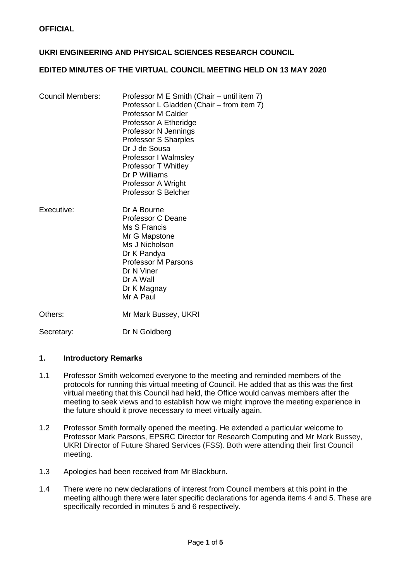## **UKRI ENGINEERING AND PHYSICAL SCIENCES RESEARCH COUNCIL**

### **EDITED MINUTES OF THE VIRTUAL COUNCIL MEETING HELD ON 13 MAY 2020**

| <b>Council Members:</b> | Professor M E Smith (Chair – until item 7)<br>Professor L Gladden (Chair – from item 7)<br><b>Professor M Calder</b><br>Professor A Etheridge<br>Professor N Jennings<br><b>Professor S Sharples</b><br>Dr J de Sousa<br>Professor I Walmsley<br><b>Professor T Whitley</b><br>Dr P Williams<br>Professor A Wright<br><b>Professor S Belcher</b> |
|-------------------------|--------------------------------------------------------------------------------------------------------------------------------------------------------------------------------------------------------------------------------------------------------------------------------------------------------------------------------------------------|
| Executive:              | Dr A Bourne<br><b>Professor C Deane</b><br>Ms S Francis<br>Mr G Mapstone<br>Ms J Nicholson<br>Dr K Pandya<br><b>Professor M Parsons</b><br>Dr N Viner<br>Dr A Wall<br>Dr K Magnay<br>Mr A Paul                                                                                                                                                   |

Others: Mr Mark Bussey, UKRI

Secretary: Dr N Goldberg

### **1. Introductory Remarks**

- 1.1 Professor Smith welcomed everyone to the meeting and reminded members of the protocols for running this virtual meeting of Council. He added that as this was the first virtual meeting that this Council had held, the Office would canvas members after the meeting to seek views and to establish how we might improve the meeting experience in the future should it prove necessary to meet virtually again.
- 1.2 Professor Smith formally opened the meeting. He extended a particular welcome to Professor Mark Parsons, EPSRC Director for Research Computing and Mr Mark Bussey, UKRI Director of Future Shared Services (FSS). Both were attending their first Council meeting.
- 1.3 Apologies had been received from Mr Blackburn.
- 1.4 There were no new declarations of interest from Council members at this point in the meeting although there were later specific declarations for agenda items 4 and 5. These are specifically recorded in minutes 5 and 6 respectively.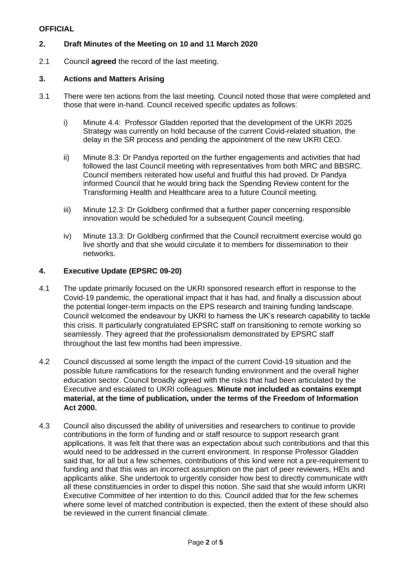# **2. Draft Minutes of the Meeting on 10 and 11 March 2020**

2.1 Council **agreed** the record of the last meeting.

### **3. Actions and Matters Arising**

- 3.1 There were ten actions from the last meeting. Council noted those that were completed and those that were in-hand. Council received specific updates as follows:
	- i) Minute 4.4: Professor Gladden reported that the development of the UKRI 2025 Strategy was currently on hold because of the current Covid-related situation, the delay in the SR process and pending the appointment of the new UKRI CEO.
	- ii) Minute 8.3: Dr Pandya reported on the further engagements and activities that had followed the last Council meeting with representatives from both MRC and BBSRC. Council members reiterated how useful and fruitful this had proved. Dr Pandya informed Council that he would bring back the Spending Review content for the Transforming Health and Healthcare area to a future Council meeting.
	- iii) Minute 12.3: Dr Goldberg confirmed that a further paper concerning responsible innovation would be scheduled for a subsequent Council meeting.
	- iv) Minute 13.3: Dr Goldberg confirmed that the Council recruitment exercise would go live shortly and that she would circulate it to members for dissemination to their networks.

### **4. Executive Update (EPSRC 09-20)**

- 4.1 The update primarily focused on the UKRI sponsored research effort in response to the Covid-19 pandemic, the operational impact that it has had, and finally a discussion about the potential longer-term impacts on the EPS research and training funding landscape. Council welcomed the endeavour by UKRI to harness the UK's research capability to tackle this crisis. It particularly congratulated EPSRC staff on transitioning to remote working so seamlessly. They agreed that the professionalism demonstrated by EPSRC staff throughout the last few months had been impressive.
- 4.2 Council discussed at some length the impact of the current Covid-19 situation and the possible future ramifications for the research funding environment and the overall higher education sector. Council broadly agreed with the risks that had been articulated by the Executive and escalated to UKRI colleagues. **Minute not included as contains exempt material, at the time of publication, under the terms of the Freedom of Information Act 2000.**
- 4.3 Council also discussed the ability of universities and researchers to continue to provide contributions in the form of funding and or staff resource to support research grant applications. It was felt that there was an expectation about such contributions and that this would need to be addressed in the current environment. In response Professor Gladden said that, for all but a few schemes, contributions of this kind were not a pre-requirement to funding and that this was an incorrect assumption on the part of peer reviewers, HEIs and applicants alike. She undertook to urgently consider how best to directly communicate with all these constituencies in order to dispel this notion. She said that she would inform UKRI Executive Committee of her intention to do this. Council added that for the few schemes where some level of matched contribution is expected, then the extent of these should also be reviewed in the current financial climate.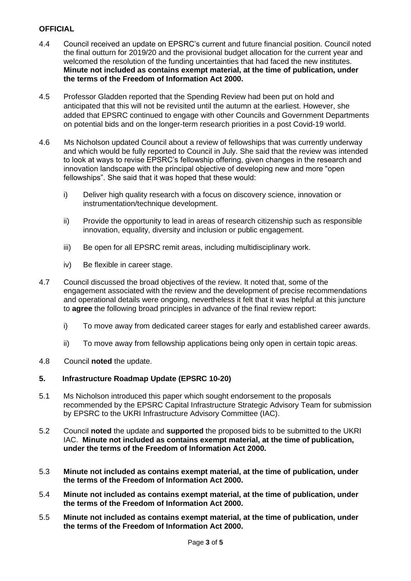- 4.4 Council received an update on EPSRC's current and future financial position. Council noted the final outturn for 2019/20 and the provisional budget allocation for the current year and welcomed the resolution of the funding uncertainties that had faced the new institutes. **Minute not included as contains exempt material, at the time of publication, under the terms of the Freedom of Information Act 2000.**
- 4.5 Professor Gladden reported that the Spending Review had been put on hold and anticipated that this will not be revisited until the autumn at the earliest. However, she added that EPSRC continued to engage with other Councils and Government Departments on potential bids and on the longer-term research priorities in a post Covid-19 world.
- 4.6 Ms Nicholson updated Council about a review of fellowships that was currently underway and which would be fully reported to Council in July. She said that the review was intended to look at ways to revise EPSRC's fellowship offering, given changes in the research and innovation landscape with the principal objective of developing new and more "open fellowships". She said that it was hoped that these would:
	- i) Deliver high quality research with a focus on discovery science, innovation or instrumentation/technique development.
	- ii) Provide the opportunity to lead in areas of research citizenship such as responsible innovation, equality, diversity and inclusion or public engagement.
	- iii) Be open for all EPSRC remit areas, including multidisciplinary work.
	- iv) Be flexible in career stage.
- 4.7 Council discussed the broad objectives of the review. It noted that, some of the engagement associated with the review and the development of precise recommendations and operational details were ongoing, nevertheless it felt that it was helpful at this juncture to **agree** the following broad principles in advance of the final review report:
	- i) To move away from dedicated career stages for early and established career awards.
	- ii) To move away from fellowship applications being only open in certain topic areas.
- 4.8 Council **noted** the update.

# **5. Infrastructure Roadmap Update (EPSRC 10-20)**

- 5.1 Ms Nicholson introduced this paper which sought endorsement to the proposals recommended by the EPSRC Capital Infrastructure Strategic Advisory Team for submission by EPSRC to the UKRI Infrastructure Advisory Committee (IAC).
- 5.2 Council **noted** the update and **supported** the proposed bids to be submitted to the UKRI IAC. **Minute not included as contains exempt material, at the time of publication, under the terms of the Freedom of Information Act 2000.**
- 5.3 **Minute not included as contains exempt material, at the time of publication, under the terms of the Freedom of Information Act 2000.**
- 5.4 **Minute not included as contains exempt material, at the time of publication, under the terms of the Freedom of Information Act 2000.**
- 5.5 **Minute not included as contains exempt material, at the time of publication, under the terms of the Freedom of Information Act 2000.**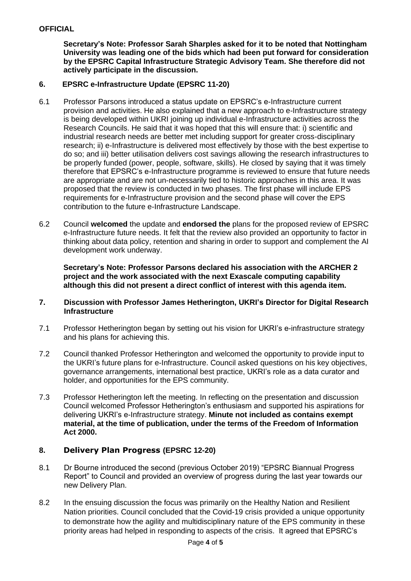**Secretary's Note: Professor Sarah Sharples asked for it to be noted that Nottingham University was leading one of the bids which had been put forward for consideration by the EPSRC Capital Infrastructure Strategic Advisory Team. She therefore did not actively participate in the discussion.**

## **6. EPSRC e-Infrastructure Update (EPSRC 11-20)**

- 6.1 Professor Parsons introduced a status update on EPSRC's e-Infrastructure current provision and activities. He also explained that a new approach to e-Infrastructure strategy is being developed within UKRI joining up individual e-Infrastructure activities across the Research Councils. He said that it was hoped that this will ensure that: i) scientific and industrial research needs are better met including support for greater cross-disciplinary research; ii) e-Infrastructure is delivered most effectively by those with the best expertise to do so; and iii) better utilisation delivers cost savings allowing the research infrastructures to be properly funded (power, people, software, skills). He closed by saying that it was timely therefore that EPSRC's e-Infrastructure programme is reviewed to ensure that future needs are appropriate and are not un-necessarily tied to historic approaches in this area. It was proposed that the review is conducted in two phases. The first phase will include EPS requirements for e-Infrastructure provision and the second phase will cover the EPS contribution to the future e-Infrastructure Landscape.
- 6.2 Council **welcomed** the update and **endorsed the** plans for the proposed review of EPSRC e-Infrastructure future needs. It felt that the review also provided an opportunity to factor in thinking about data policy, retention and sharing in order to support and complement the AI development work underway.

**Secretary's Note: Professor Parsons declared his association with the ARCHER 2 project and the work associated with the next Exascale computing capability although this did not present a direct conflict of interest with this agenda item.** 

### **7. Discussion with Professor James Hetherington, UKRI's Director for Digital Research Infrastructure**

- 7.1 Professor Hetherington began by setting out his vision for UKRI's e-infrastructure strategy and his plans for achieving this.
- 7.2 Council thanked Professor Hetherington and welcomed the opportunity to provide input to the UKRI's future plans for e-Infrastructure. Council asked questions on his key objectives, governance arrangements, international best practice, UKRI's role as a data curator and holder, and opportunities for the EPS community.
- 7.3 Professor Hetherington left the meeting. In reflecting on the presentation and discussion Council welcomed Professor Hetherington's enthusiasm and supported his aspirations for delivering UKRI's e-Infrastructure strategy. **Minute not included as contains exempt material, at the time of publication, under the terms of the Freedom of Information Act 2000.**

# **8. Delivery Plan Progress (EPSRC 12-20)**

- 8.1 Dr Bourne introduced the second (previous October 2019) "EPSRC Biannual Progress Report" to Council and provided an overview of progress during the last year towards our new Delivery Plan.
- 8.2 In the ensuing discussion the focus was primarily on the Healthy Nation and Resilient Nation priorities. Council concluded that the Covid-19 crisis provided a unique opportunity to demonstrate how the agility and multidisciplinary nature of the EPS community in these priority areas had helped in responding to aspects of the crisis. It agreed that EPSRC's